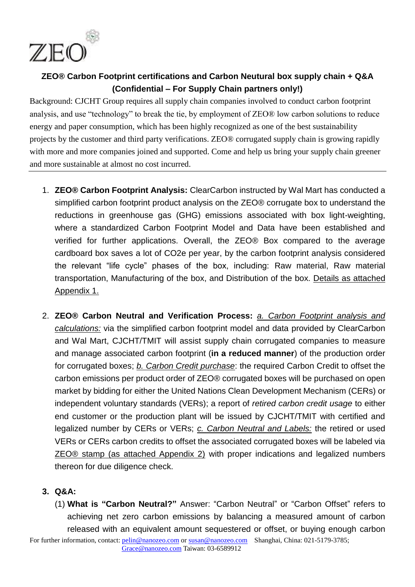

## **ZEO® Carbon Footprint certifications and Carbon Neutural box supply chain + Q&A (Confidential – For Supply Chain partners only!)**

Background: CJCHT Group requires all supply chain companies involved to conduct carbon footprint analysis, and use "technology" to break the tie, by employment of ZEO® low carbon solutions to reduce energy and paper consumption, which has been highly recognized as one of the best sustainability projects by the customer and third party verifications. ZEO® corrugated supply chain is growing rapidly with more and more companies joined and supported. Come and help us bring your supply chain greener and more sustainable at almost no cost incurred.

- 1. **ZEO® Carbon Footprint Analysis:** ClearCarbon instructed by Wal Mart has conducted a simplified carbon footprint product analysis on the ZEO® corrugate box to understand the reductions in greenhouse gas (GHG) emissions associated with box light-weighting, where a standardized Carbon Footprint Model and Data have been established and verified for further applications. Overall, the ZEO® Box compared to the average cardboard box saves a lot of CO2e per year, by the carbon footprint analysis considered the relevant "life cycle" phases of the box, including: Raw material, Raw material transportation, Manufacturing of the box, and Distribution of the box. Details as attached Appendix 1.
- 2. **ZEO® Carbon Neutral and Verification Process:** *a. Carbon Footprint analysis and calculations:* via the simplified carbon footprint model and data provided by ClearCarbon and Wal Mart, CJCHT/TMIT will assist supply chain corrugated companies to measure and manage associated carbon footprint (**in a reduced manner**) of the production order for corrugated boxes; *b. Carbon Credit purchase*: the required Carbon Credit to offset the carbon emissions per product order of ZEO® corrugated boxes will be purchased on open market by bidding for either the United Nations Clean Development Mechanism (CERs) or independent voluntary standards (VERs); a report of *retired carbon credit usage* to either end customer or the production plant will be issued by CJCHT/TMIT with certified and legalized number by CERs or VERs; *c. Carbon Neutral and Labels:* the retired or used VERs or CERs carbon credits to offset the associated corrugated boxes will be labeled via ZEO® stamp (as attached Appendix 2) with proper indications and legalized numbers thereon for due diligence check.

## **3. Q&A:**

(1) **What is "Carbon Neutral?"** Answer: "Carbon Neutral" or "Carbon Offset" refers to achieving net zero [carbon emissions](http://en.wikipedia.org/wiki/Carbon_emissions) by balancing a measured amount of carbon released with an equivalent amount sequestered or offset, or buying enough [carbon](http://en.wikipedia.org/wiki/Carbon_credits) 

For further information, contact: pelin@nanozeo.com or susan@nanozeo.com Shanghai, China: 021-5179-3785; Grace@nanozeo.com Taiwan: 03-6589912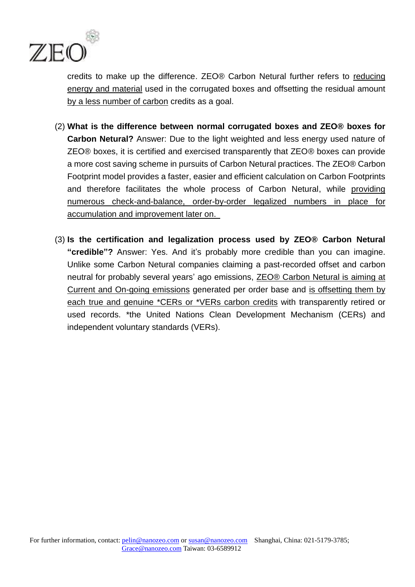

[credits](http://en.wikipedia.org/wiki/Carbon_credits) to make up the difference. ZEO® Carbon Netural further refers to reducing energy and material used in the corrugated boxes and offsetting the residual amount by a less number of carbon credits as a goal.

- (2) **What is the difference between normal corrugated boxes and ZEO® boxes for Carbon Netural?** Answer: Due to the light weighted and less energy used nature of ZEO® boxes, it is certified and exercised transparently that ZEO® boxes can provide a more cost saving scheme in pursuits of Carbon Netural practices. The ZEO® Carbon Footprint model provides a faster, easier and efficient calculation on Carbon Footprints and therefore facilitates the whole process of Carbon Netural, while providing numerous check-and-balance, order-by-order legalized numbers in place for accumulation and improvement later on.
- (3) **Is the certification and legalization process used by ZEO® Carbon Netural "credible"?** Answer: Yes. And it's probably more credible than you can imagine. Unlike some Carbon Netural companies claiming a past-recorded offset and carbon neutral for probably several years' ago emissions, ZEO® Carbon Netural is aiming at Current and On-going emissions generated per order base and is offsetting them by each true and genuine \*CERs or \*VERs carbon credits with transparently retired or used records. \*the United Nations Clean Development Mechanism (CERs) and independent voluntary standards (VERs).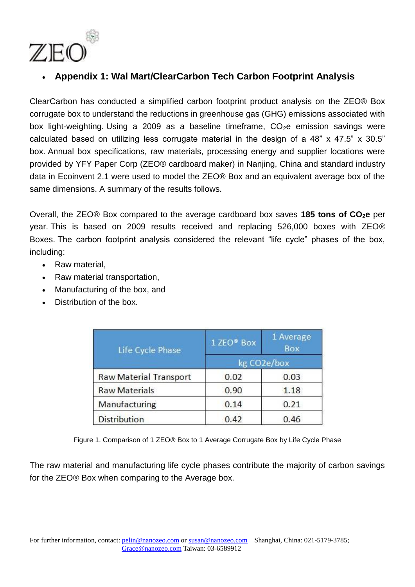

## **Appendix 1: Wal Mart/ClearCarbon Tech Carbon Footprint Analysis**

ClearCarbon has conducted a simplified carbon footprint product analysis on the ZEO® Box corrugate box to understand the reductions in greenhouse gas (GHG) emissions associated with box light-weighting. Using a 2009 as a baseline timeframe.  $CO<sub>2</sub>e$  emission savings were calculated based on utilizing less corrugate material in the design of a 48" x 47.5" x 30.5" box. Annual box specifications, raw materials, processing energy and supplier locations were provided by YFY Paper Corp (ZEO® cardboard maker) in Nanjing, China and standard industry data in Ecoinvent 2.1 were used to model the ZEO® Box and an equivalent average box of the same dimensions. A summary of the results follows.

Overall, the ZEO® Box compared to the average cardboard box saves **185 tons of CO2e** per year. This is based on 2009 results received and replacing 526,000 boxes with ZEO® Boxes. The carbon footprint analysis considered the relevant "life cycle" phases of the box, including:

- Raw material
- Raw material transportation,
- Manufacturing of the box, and
- Distribution of the box.

| Life Cycle Phase              | 1 ZEO <sup>®</sup> Box | 1 Average<br><b>Box</b> |
|-------------------------------|------------------------|-------------------------|
|                               | kg CO2e/box            |                         |
| <b>Raw Material Transport</b> | 0.02                   | 0.03                    |
| <b>Raw Materials</b>          | 0.90                   | 1.18                    |
| Manufacturing                 | 0.14                   | 0.21                    |
| <b>Distribution</b>           | 0.42                   | 0.46                    |

Figure 1. Comparison of 1 ZEO® Box to 1 Average Corrugate Box by Life Cycle Phase

The raw material and manufacturing life cycle phases contribute the majority of carbon savings for the ZEO® Box when comparing to the Average box.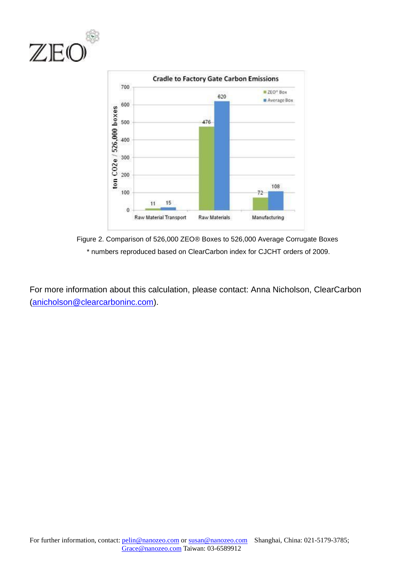



Figure 2. Comparison of 526,000 ZEO® Boxes to 526,000 Average Corrugate Boxes \* numbers reproduced based on ClearCarbon index for CJCHT orders of 2009.

For more information about this calculation, please contact: Anna Nicholson, ClearCarbon [\(anicholson@clearcarboninc.com\)](mailto:anicholson@clearcarboninc.com).